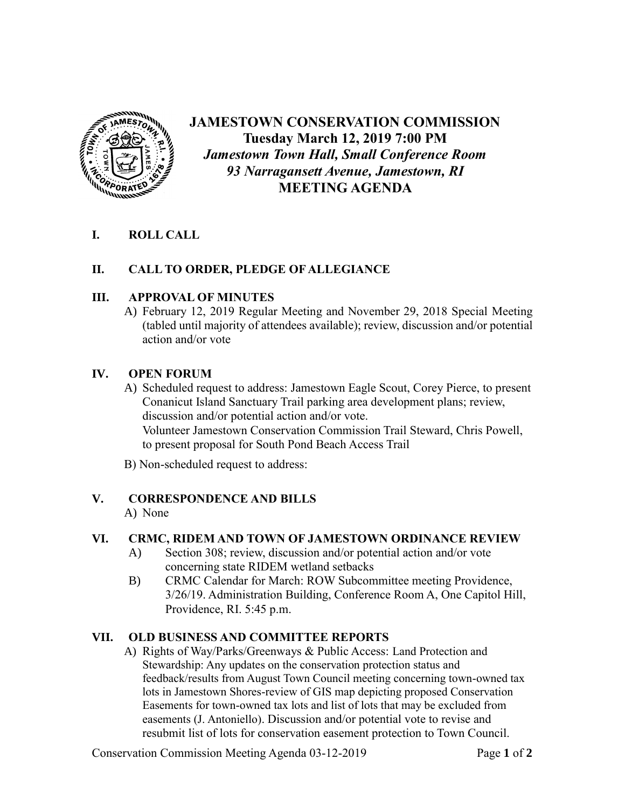

# **JAMESTOWN CONSERVATION COMMISSION Tuesday March 12, 2019 7:00 PM** *Jamestown Town Hall, Small Conference Room 93 Narragansett Avenue, Jamestown, RI* **MEETING AGENDA**

# **I. ROLL CALL**

## **II. CALL TO ORDER, PLEDGE OF ALLEGIANCE**

### **III. APPROVAL OF MINUTES**

A) February 12, 2019 Regular Meeting and November 29, 2018 Special Meeting (tabled until majority of attendees available); review, discussion and/or potential action and/or vote

#### **IV. OPEN FORUM**

A) Scheduled request to address: Jamestown Eagle Scout, Corey Pierce, to present Conanicut Island Sanctuary Trail parking area development plans; review, discussion and/or potential action and/or vote. Volunteer Jamestown Conservation Commission Trail Steward, Chris Powell, to present proposal for South Pond Beach Access Trail

B) Non-scheduled request to address:

### **V. CORRESPONDENCE AND BILLS**

A) None

### **VI. CRMC, RIDEM AND TOWN OF JAMESTOWN ORDINANCE REVIEW**

- A) Section 308; review, discussion and/or potential action and/or vote concerning state RIDEM wetland setbacks
- B) CRMC Calendar for March: ROW Subcommittee meeting Providence, 3/26/19. Administration Building, Conference Room A, One Capitol Hill, Providence, RI. 5:45 p.m.

# **VII. OLD BUSINESS AND COMMITTEE REPORTS**

A) Rights of Way/Parks/Greenways & Public Access: Land Protection and Stewardship: Any updates on the conservation protection status and feedback/results from August Town Council meeting concerning town-owned tax lots in Jamestown Shores-review of GIS map depicting proposed Conservation Easements for town-owned tax lots and list of lots that may be excluded from easements (J. Antoniello). Discussion and/or potential vote to revise and resubmit list of lots for conservation easement protection to Town Council.

Conservation Commission Meeting Agenda 03-12-2019 Page **1** of **2**